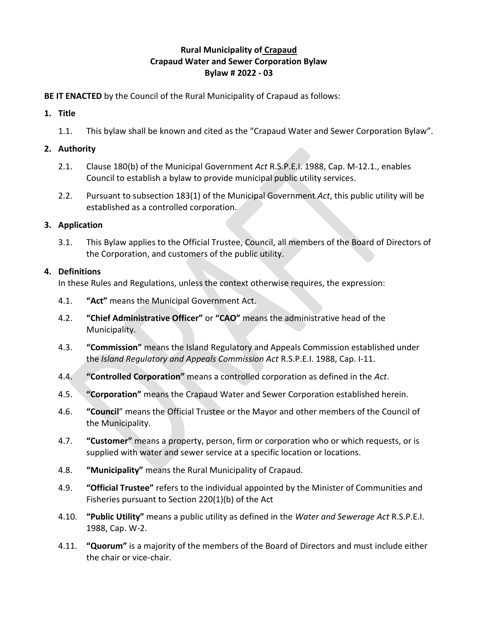# **Rural Municipality of Crapaud Crapaud Water and Sewer Corporation Bylaw Bylaw # 2022 - 03**

## **BE IT ENACTED** by the Council of the Rural Municipality of Crapaud as follows:

## **1. Title**

1.1. This bylaw shall be known and cited as the "Crapaud Water and Sewer Corporation Bylaw".

# **2. Authority**

- 2.1. Clause 180(b) of the Municipal Government *Act* R.S.P.E.I. 1988, Cap. M-12.1., enables Council to establish a bylaw to provide municipal public utility services.
- 2.2. Pursuant to subsection 183(1) of the Municipal Government *Act*, this public utility will be established as a controlled corporation.

# **3. Application**

3.1. This Bylaw applies to the Official Trustee, Council, all members of the Board of Directors of the Corporation, and customers of the public utility.

# **4. Definitions**

In these Rules and Regulations, unless the context otherwise requires, the expression:

- 4.1. **"Act"** means the Municipal Government Act.
- 4.2. **"Chief Administrative Officer"** or **"CAO"** means the administrative head of the Municipality.
- 4.3. **"Commission"** means the Island Regulatory and Appeals Commission established under the *Island Regulatory and Appeals Commission Act* R.S.P.E.I. 1988, Cap. I-11.
- 4.4. **"Controlled Corporation"** means a controlled corporation as defined in the *Act*.
- 4.5. **"Corporation"** means the Crapaud Water and Sewer Corporation established herein.
- 4.6. **"Council**" means the Official Trustee or the Mayor and other members of the Council of the Municipality.
- 4.7. **"Customer"** means a property, person, firm or corporation who or which requests, or is supplied with water and sewer service at a specific location or locations.
- 4.8. **"Municipality"** means the Rural Municipality of Crapaud.
- 4.9. **"Official Trustee"** refers to the individual appointed by the Minister of Communities and Fisheries pursuant to Section 220(1)(b) of the Act
- 4.10. **"Public Utility"** means a public utility as defined in the *Water and Sewerage Act* R.S.P.E.I. 1988, Cap. W-2.
- 4.11. **"Quorum"** is a majority of the members of the Board of Directors and must include either the chair or vice-chair.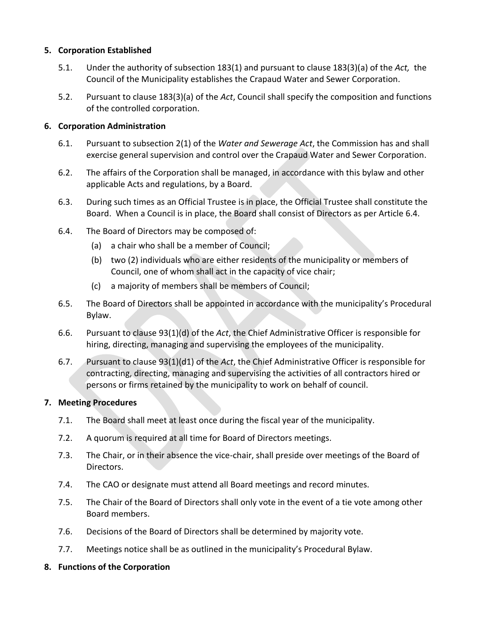### **5. Corporation Established**

- 5.1. Under the authority of subsection 183(1) and pursuant to clause 183(3)(a) of the *Act,* the Council of the Municipality establishes the Crapaud Water and Sewer Corporation.
- 5.2. Pursuant to clause 183(3)(a) of the *Act*, Council shall specify the composition and functions of the controlled corporation.

## **6. Corporation Administration**

- 6.1. Pursuant to subsection 2(1) of the *Water and Sewerage Act*, the Commission has and shall exercise general supervision and control over the Crapaud Water and Sewer Corporation.
- 6.2. The affairs of the Corporation shall be managed, in accordance with this bylaw and other applicable Acts and regulations, by a Board.
- 6.3. During such times as an Official Trustee is in place, the Official Trustee shall constitute the Board. When a Council is in place, the Board shall consist of Directors as per Article 6.4.
- 6.4. The Board of Directors may be composed of:
	- (a) a chair who shall be a member of Council;
	- (b) two (2) individuals who are either residents of the municipality or members of Council, one of whom shall act in the capacity of vice chair;
	- (c) a majority of members shall be members of Council;
- 6.5. The Board of Directors shall be appointed in accordance with the municipality's Procedural Bylaw.
- 6.6. Pursuant to clause 93(1)(d) of the *Act*, the Chief Administrative Officer is responsible for hiring, directing, managing and supervising the employees of the municipality.
- 6.7. Pursuant to clause 93(1)(d1) of the *Act*, the Chief Administrative Officer is responsible for contracting, directing, managing and supervising the activities of all contractors hired or persons or firms retained by the municipality to work on behalf of council.

### **7. Meeting Procedures**

- 7.1. The Board shall meet at least once during the fiscal year of the municipality.
- 7.2. A quorum is required at all time for Board of Directors meetings.
- 7.3. The Chair, or in their absence the vice-chair, shall preside over meetings of the Board of Directors.
- 7.4. The CAO or designate must attend all Board meetings and record minutes.
- 7.5. The Chair of the Board of Directors shall only vote in the event of a tie vote among other Board members.
- 7.6. Decisions of the Board of Directors shall be determined by majority vote.
- 7.7. Meetings notice shall be as outlined in the municipality's Procedural Bylaw.
- **8. Functions of the Corporation**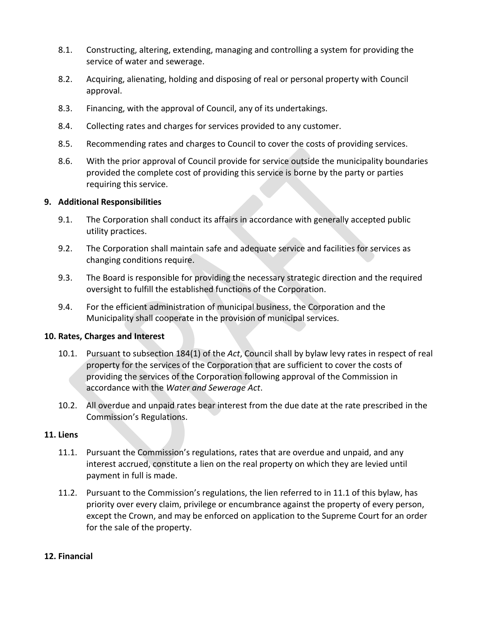- 8.1. Constructing, altering, extending, managing and controlling a system for providing the service of water and sewerage.
- 8.2. Acquiring, alienating, holding and disposing of real or personal property with Council approval.
- 8.3. Financing, with the approval of Council, any of its undertakings.
- 8.4. Collecting rates and charges for services provided to any customer.
- 8.5. Recommending rates and charges to Council to cover the costs of providing services.
- 8.6. With the prior approval of Council provide for service outside the municipality boundaries provided the complete cost of providing this service is borne by the party or parties requiring this service.

### **9. Additional Responsibilities**

- 9.1. The Corporation shall conduct its affairs in accordance with generally accepted public utility practices.
- 9.2. The Corporation shall maintain safe and adequate service and facilities for services as changing conditions require.
- 9.3. The Board is responsible for providing the necessary strategic direction and the required oversight to fulfill the established functions of the Corporation.
- 9.4. For the efficient administration of municipal business, the Corporation and the Municipality shall cooperate in the provision of municipal services.

### **10. Rates, Charges and Interest**

- 10.1. Pursuant to subsection 184(1) of the *Act*, Council shall by bylaw levy rates in respect of real property for the services of the Corporation that are sufficient to cover the costs of providing the services of the Corporation following approval of the Commission in accordance with the *Water and Sewerage Act*.
- 10.2. All overdue and unpaid rates bear interest from the due date at the rate prescribed in the Commission's Regulations.

### **11. Liens**

- 11.1. Pursuant the Commission's regulations, rates that are overdue and unpaid, and any interest accrued, constitute a lien on the real property on which they are levied until payment in full is made.
- 11.2. Pursuant to the Commission's regulations, the lien referred to in 11.1 of this bylaw, has priority over every claim, privilege or encumbrance against the property of every person, except the Crown, and may be enforced on application to the Supreme Court for an order for the sale of the property.

### **12. Financial**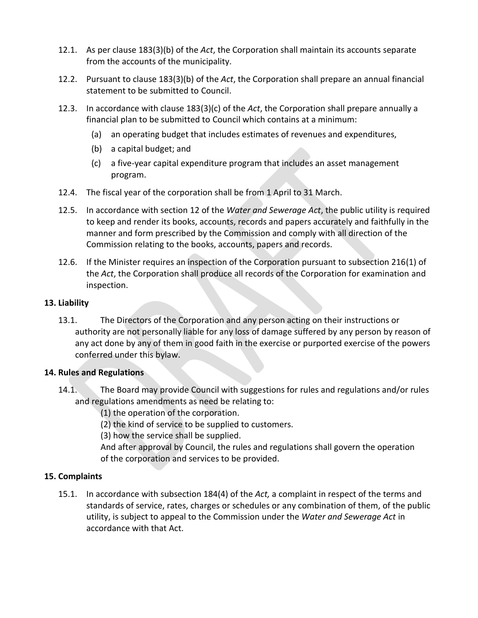- 12.1. As per clause 183(3)(b) of the *Act*, the Corporation shall maintain its accounts separate from the accounts of the municipality.
- 12.2. Pursuant to clause 183(3)(b) of the *Act*, the Corporation shall prepare an annual financial statement to be submitted to Council.
- 12.3. In accordance with clause 183(3)(c) of the *Act*, the Corporation shall prepare annually a financial plan to be submitted to Council which contains at a minimum:
	- (a) an operating budget that includes estimates of revenues and expenditures,
	- (b) a capital budget; and
	- (c) a five-year capital expenditure program that includes an asset management program.
- 12.4. The fiscal year of the corporation shall be from 1 April to 31 March.
- 12.5. In accordance with section 12 of the *Water and Sewerage Act*, the public utility is required to keep and render its books, accounts, records and papers accurately and faithfully in the manner and form prescribed by the Commission and comply with all direction of the Commission relating to the books, accounts, papers and records.
- 12.6. If the Minister requires an inspection of the Corporation pursuant to subsection 216(1) of the *Act*, the Corporation shall produce all records of the Corporation for examination and inspection.

## **13. Liability**

13.1. The Directors of the Corporation and any person acting on their instructions or authority are not personally liable for any loss of damage suffered by any person by reason of any act done by any of them in good faith in the exercise or purported exercise of the powers conferred under this bylaw.

## **14. Rules and Regulations**

14.1. The Board may provide Council with suggestions for rules and regulations and/or rules and regulations amendments as need be relating to:

(1) the operation of the corporation.

(2) the kind of service to be supplied to customers.

(3) how the service shall be supplied.

 And after approval by Council, the rules and regulations shall govern the operation of the corporation and services to be provided.

# **15. Complaints**

15.1. In accordance with subsection 184(4) of the *Act,* a complaint in respect of the terms and standards of service, rates, charges or schedules or any combination of them, of the public utility, is subject to appeal to the Commission under the *Water and Sewerage Act* in accordance with that Act.